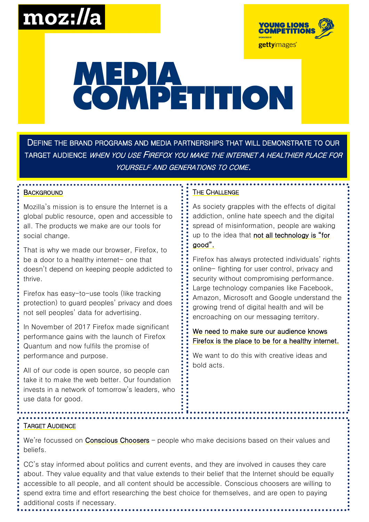## moz://a



# MEPIA<br>COMPETITION

DEFINE THE BRAND PROGRAMS AND MEDIA PARTNERSHIPS THAT WILL DEMONSTRATE TO OUR TARGET AUDIENCE WHEN YOU USE FIREFOX YOU MAKE THE INTERNET A HEALTHIER PLACE FOR YOURSELF AND GENERATIONS TO COME.

#### **BACKGROUND**

Mozilla's mission is to ensure the Internet is a global public resource, open and accessible to all. The products we make are our tools for social change.

That is why we made our browser, Firefox, to be a door to a healthy internet- one that doesn't depend on keeping people addicted to thrive.

Firefox has easy-to-use tools (like tracking protection) to guard peoples' privacy and does not sell peoples' data for advertising.

In November of 2017 Firefox made significant performance gains with the launch of Firefox Quantum and now fulfils the promise of performance and purpose.

All of our code is open source, so people can take it to make the web better. Our foundation invests in a network of tomorrow's leaders, who use data for good.

### THE CHALLENGE

As society grapples with the effects of digital addiction, online hate speech and the digital spread of misinformation, people are waking up to the idea that not all technology is "for good".

Firefox has always protected individuals' rights online- fighting for user control, privacy and security without compromising performance. Large technology companies like Facebook, Amazon, Microsoft and Google understand the growing trend of digital health and will be encroaching on our messaging territory.

We need to make sure our audience knows Firefox is the place to be for a healthy internet.

We want to do this with creative ideas and bold acts.

#### TARGET AUDIENCE

We're focussed on Conscious Choosers - people who make decisions based on their values and beliefs.

CC's stay informed about politics and current events, and they are involved in causes they care about. They value equality and that value extends to their belief that the Internet should be equally accessible to all people, and all content should be accessible. Conscious choosers are willing to spend extra time and effort researching the best choice for themselves, and are open to paying additional costs if necessary.